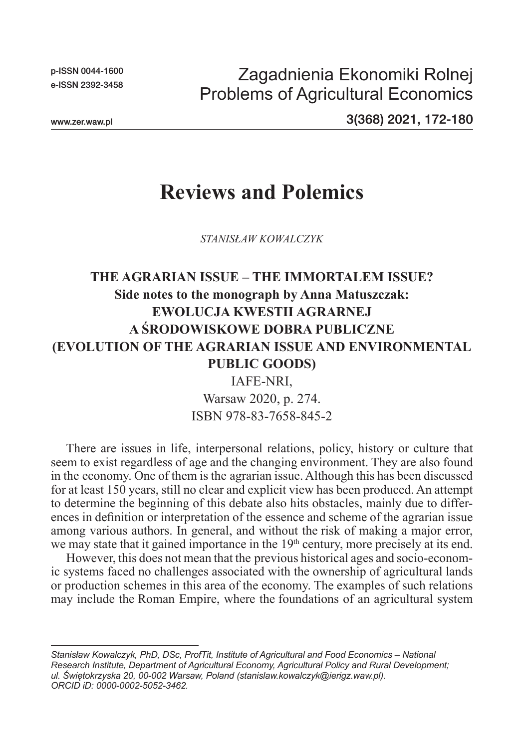p-ISSN 0044-1600 e-ISSN 2392-3458

Zagadnienia Ekonomiki Rolnej Problems of Agricultural Economics

www.zer.waw.pl

3(368) 2021, 172-180

## **Reviews and Polemics**

*STANISŁAW KOWALCZYK*

## **THE AGRARIAN ISSUE – THE IMMORTALEM ISSUE? Side notes to the monograph by Anna Matuszczak: EWOLUCJA KWESTII AGRARNEJ A ŚRODOWISKOWE DOBRA PUBLICZNE (EVOLUTION OF THE AGRARIAN ISSUE AND ENVIRONMENTAL PUBLIC GOODS)**

IAFE-NRI, Warsaw 2020, p. 274. ISBN 978-83-7658-845-2

There are issues in life, interpersonal relations, policy, history or culture that seem to exist regardless of age and the changing environment. They are also found in the economy. One of them is the agrarian issue. Although this has been discussed for at least 150 years, still no clear and explicit view has been produced. An attempt to determine the beginning of this debate also hits obstacles, mainly due to differences in definition or interpretation of the essence and scheme of the agrarian issue among various authors. In general, and without the risk of making a major error, we may state that it gained importance in the  $19<sup>th</sup>$  century, more precisely at its end.

However, this does not mean that the previous historical ages and socio-economic systems faced no challenges associated with the ownership of agricultural lands or production schemes in this area of the economy. The examples of such relations may include the Roman Empire, where the foundations of an agricultural system

*Stanisław Kowalczyk, PhD, DSc, ProfTit, Institute of Agricultural and Food Economics – National Research Institute, Department of Agricultural Economy, Agricultural Policy and Rural Development; ul. Świętokrzyska 20, 00-002 Warsaw, Poland (stanislaw.kowalczyk@ierigz.waw.pl). ORCID iD: 0000-0002-5052-3462.*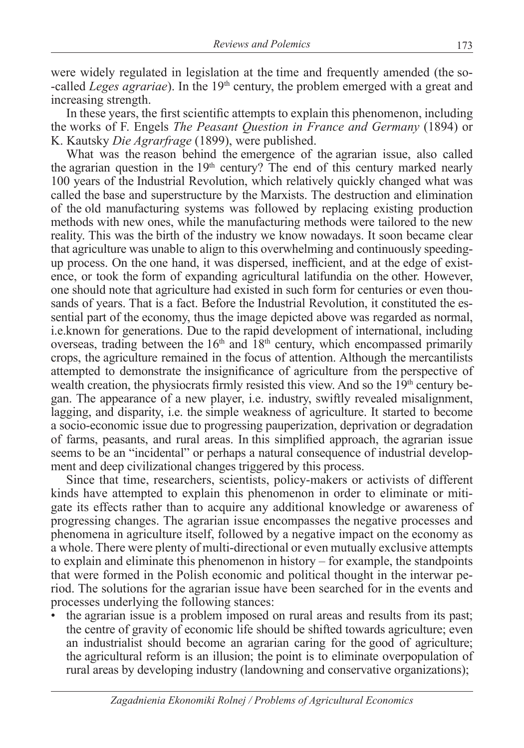were widely regulated in legislation at the time and frequently amended (the so- -called *Leges agrariae*). In the 19th century, the problem emerged with a great and increasing strength.

In these years, the first scientific attempts to explain this phenomenon, including the works of F. Engels *The Peasant Question in France and Germany* (1894) or K. Kautsky *Die Agrarfrage* (1899), were published.

What was the reason behind the emergence of the agrarian issue, also called the agrarian question in the  $19<sup>th</sup>$  century? The end of this century marked nearly 100 years of the Industrial Revolution, which relatively quickly changed what was called the base and superstructure by the Marxists. The destruction and elimination of the old manufacturing systems was followed by replacing existing production methods with new ones, while the manufacturing methods were tailored to the new reality. This was the birth of the industry we know nowadays. It soon became clear that agriculture was unable to align to this overwhelming and continuously speedingup process. On the one hand, it was dispersed, inefficient, and at the edge of existence, or took the form of expanding agricultural latifundia on the other. However, one should note that agriculture had existed in such form for centuries or even thousands of years. That is a fact. Before the Industrial Revolution, it constituted the essential part of the economy, thus the image depicted above was regarded as normal, i.e.known for generations. Due to the rapid development of international, including overseas, trading between the  $16<sup>th</sup>$  and  $18<sup>th</sup>$  century, which encompassed primarily crops, the agriculture remained in the focus of attention. Although the mercantilists attempted to demonstrate the insignificance of agriculture from the perspective of wealth creation, the physiocrats firmly resisted this view. And so the  $19<sup>th</sup>$  century began. The appearance of a new player, i.e. industry, swiftly revealed misalignment, lagging, and disparity, i.e. the simple weakness of agriculture. It started to become a socio-economic issue due to progressing pauperization, deprivation or degradation of farms, peasants, and rural areas. In this simplified approach, the agrarian issue seems to be an "incidental" or perhaps a natural consequence of industrial development and deep civilizational changes triggered by this process.

Since that time, researchers, scientists, policy-makers or activists of different kinds have attempted to explain this phenomenon in order to eliminate or mitigate its effects rather than to acquire any additional knowledge or awareness of progressing changes. The agrarian issue encompasses the negative processes and phenomena in agriculture itself, followed by a negative impact on the economy as a whole. There were plenty of multi-directional or even mutually exclusive attempts to explain and eliminate this phenomenon in history – for example, the standpoints that were formed in the Polish economic and political thought in the interwar period. The solutions for the agrarian issue have been searched for in the events and processes underlying the following stances:

• the agrarian issue is a problem imposed on rural areas and results from its past; the centre of gravity of economic life should be shifted towards agriculture; even an industrialist should become an agrarian caring for the good of agriculture; the agricultural reform is an illusion; the point is to eliminate overpopulation of rural areas by developing industry (landowning and conservative organizations);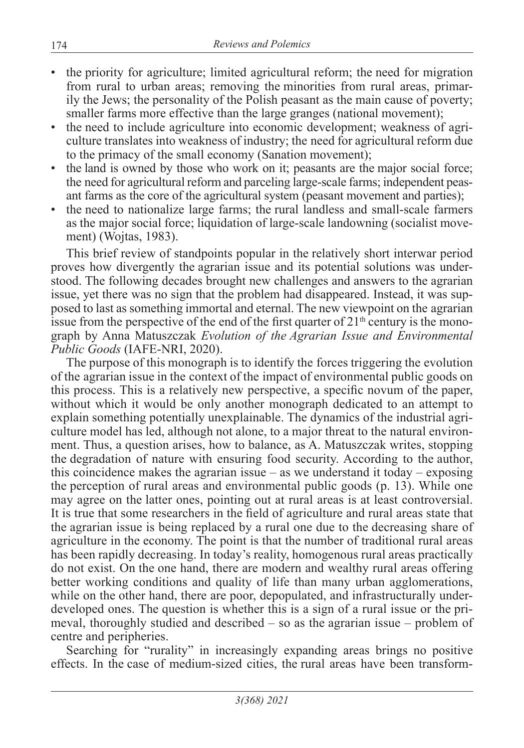- the priority for agriculture; limited agricultural reform; the need for migration from rural to urban areas; removing the minorities from rural areas, primarily the Jews; the personality of the Polish peasant as the main cause of poverty; smaller farms more effective than the large granges (national movement);
- the need to include agriculture into economic development; weakness of agriculture translates into weakness of industry; the need for agricultural reform due to the primacy of the small economy (Sanation movement);
- the land is owned by those who work on it; peasants are the major social force; the need for agricultural reform and parceling large-scale farms; independent peasant farms as the core of the agricultural system (peasant movement and parties);
- the need to nationalize large farms; the rural landless and small-scale farmers as the major social force; liquidation of large-scale landowning (socialist movement) (Wojtas, 1983).

This brief review of standpoints popular in the relatively short interwar period proves how divergently the agrarian issue and its potential solutions was understood. The following decades brought new challenges and answers to the agrarian issue, yet there was no sign that the problem had disappeared. Instead, it was supposed to last as something immortal and eternal. The new viewpoint on the agrarian issue from the perspective of the end of the first quarter of  $21<sup>th</sup>$  century is the monograph by Anna Matuszczak *Evolution of the Agrarian Issue and Environmental Public Goods* (IAFE-NRI, 2020).

The purpose of this monograph is to identify the forces triggering the evolution of the agrarian issue in the context of the impact of environmental public goods on this process. This is a relatively new perspective, a specific novum of the paper, without which it would be only another monograph dedicated to an attempt to explain something potentially unexplainable. The dynamics of the industrial agriculture model has led, although not alone, to a major threat to the natural environment. Thus, a question arises, how to balance, as A. Matuszczak writes, stopping the degradation of nature with ensuring food security. According to the author, this coincidence makes the agrarian issue – as we understand it today – exposing the perception of rural areas and environmental public goods (p. 13). While one may agree on the latter ones, pointing out at rural areas is at least controversial. It is true that some researchers in the field of agriculture and rural areas state that the agrarian issue is being replaced by a rural one due to the decreasing share of agriculture in the economy. The point is that the number of traditional rural areas has been rapidly decreasing. In today's reality, homogenous rural areas practically do not exist. On the one hand, there are modern and wealthy rural areas offering better working conditions and quality of life than many urban agglomerations, while on the other hand, there are poor, depopulated, and infrastructurally underdeveloped ones. The question is whether this is a sign of a rural issue or the primeval, thoroughly studied and described – so as the agrarian issue – problem of centre and peripheries.

Searching for "rurality" in increasingly expanding areas brings no positive effects. In the case of medium-sized cities, the rural areas have been transform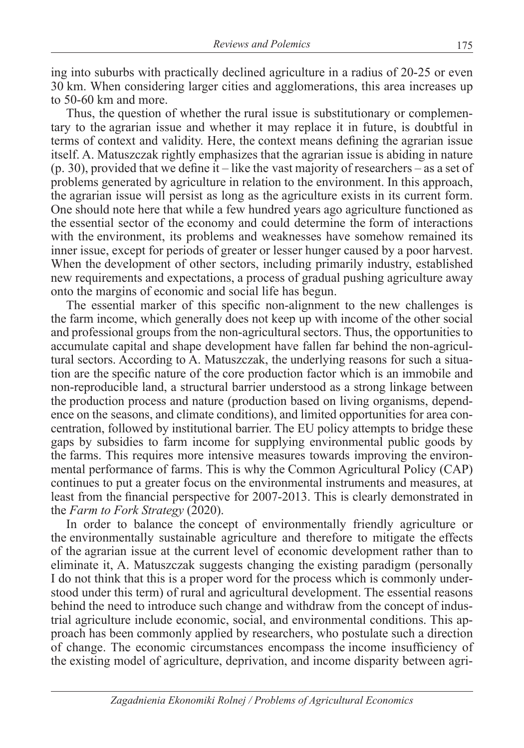ing into suburbs with practically declined agriculture in a radius of 20-25 or even 30 km. When considering larger cities and agglomerations, this area increases up to 50-60 km and more.

Thus, the question of whether the rural issue is substitutionary or complementary to the agrarian issue and whether it may replace it in future, is doubtful in terms of context and validity. Here, the context means defining the agrarian issue itself. A. Matuszczak rightly emphasizes that the agrarian issue is abiding in nature (p. 30), provided that we define it – like the vast majority of researchers – as a set of problems generated by agriculture in relation to the environment. In this approach, the agrarian issue will persist as long as the agriculture exists in its current form. One should note here that while a few hundred years ago agriculture functioned as the essential sector of the economy and could determine the form of interactions with the environment, its problems and weaknesses have somehow remained its inner issue, except for periods of greater or lesser hunger caused by a poor harvest. When the development of other sectors, including primarily industry, established new requirements and expectations, a process of gradual pushing agriculture away onto the margins of economic and social life has begun.

The essential marker of this specific non-alignment to the new challenges is the farm income, which generally does not keep up with income of the other social and professional groups from the non-agricultural sectors. Thus, the opportunities to accumulate capital and shape development have fallen far behind the non-agricultural sectors. According to A. Matuszczak, the underlying reasons for such a situation are the specific nature of the core production factor which is an immobile and non-reproducible land, a structural barrier understood as a strong linkage between the production process and nature (production based on living organisms, dependence on the seasons, and climate conditions), and limited opportunities for area concentration, followed by institutional barrier. The EU policy attempts to bridge these gaps by subsidies to farm income for supplying environmental public goods by the farms. This requires more intensive measures towards improving the environmental performance of farms. This is why the Common Agricultural Policy (CAP) continues to put a greater focus on the environmental instruments and measures, at least from the financial perspective for 2007-2013. This is clearly demonstrated in the *Farm to Fork Strategy* (2020).

In order to balance the concept of environmentally friendly agriculture or the environmentally sustainable agriculture and therefore to mitigate the effects of the agrarian issue at the current level of economic development rather than to eliminate it, A. Matuszczak suggests changing the existing paradigm (personally I do not think that this is a proper word for the process which is commonly understood under this term) of rural and agricultural development. The essential reasons behind the need to introduce such change and withdraw from the concept of industrial agriculture include economic, social, and environmental conditions. This approach has been commonly applied by researchers, who postulate such a direction of change. The economic circumstances encompass the income insufficiency of the existing model of agriculture, deprivation, and income disparity between agri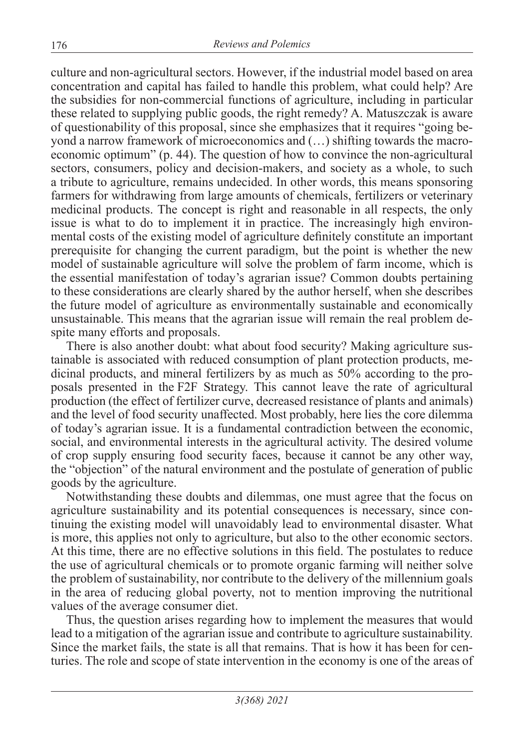culture and non-agricultural sectors. However, if the industrial model based on area concentration and capital has failed to handle this problem, what could help? Are the subsidies for non-commercial functions of agriculture, including in particular these related to supplying public goods, the right remedy? A. Matuszczak is aware of questionability of this proposal, since she emphasizes that it requires "going beyond a narrow framework of microeconomics and (…) shifting towards the macroeconomic optimum" (p. 44). The question of how to convince the non-agricultural sectors, consumers, policy and decision-makers, and society as a whole, to such a tribute to agriculture, remains undecided. In other words, this means sponsoring farmers for withdrawing from large amounts of chemicals, fertilizers or veterinary medicinal products. The concept is right and reasonable in all respects, the only issue is what to do to implement it in practice. The increasingly high environmental costs of the existing model of agriculture definitely constitute an important prerequisite for changing the current paradigm, but the point is whether the new model of sustainable agriculture will solve the problem of farm income, which is the essential manifestation of today's agrarian issue? Common doubts pertaining to these considerations are clearly shared by the author herself, when she describes the future model of agriculture as environmentally sustainable and economically unsustainable. This means that the agrarian issue will remain the real problem despite many efforts and proposals.

There is also another doubt: what about food security? Making agriculture sustainable is associated with reduced consumption of plant protection products, medicinal products, and mineral fertilizers by as much as 50% according to the proposals presented in the F2F Strategy. This cannot leave the rate of agricultural production (the effect of fertilizer curve, decreased resistance of plants and animals) and the level of food security unaffected. Most probably, here lies the core dilemma of today's agrarian issue. It is a fundamental contradiction between the economic, social, and environmental interests in the agricultural activity. The desired volume of crop supply ensuring food security faces, because it cannot be any other way, the "objection" of the natural environment and the postulate of generation of public goods by the agriculture.

Notwithstanding these doubts and dilemmas, one must agree that the focus on agriculture sustainability and its potential consequences is necessary, since continuing the existing model will unavoidably lead to environmental disaster. What is more, this applies not only to agriculture, but also to the other economic sectors. At this time, there are no effective solutions in this field. The postulates to reduce the use of agricultural chemicals or to promote organic farming will neither solve the problem of sustainability, nor contribute to the delivery of the millennium goals in the area of reducing global poverty, not to mention improving the nutritional values of the average consumer diet.

Thus, the question arises regarding how to implement the measures that would lead to a mitigation of the agrarian issue and contribute to agriculture sustainability. Since the market fails, the state is all that remains. That is how it has been for centuries. The role and scope of state intervention in the economy is one of the areas of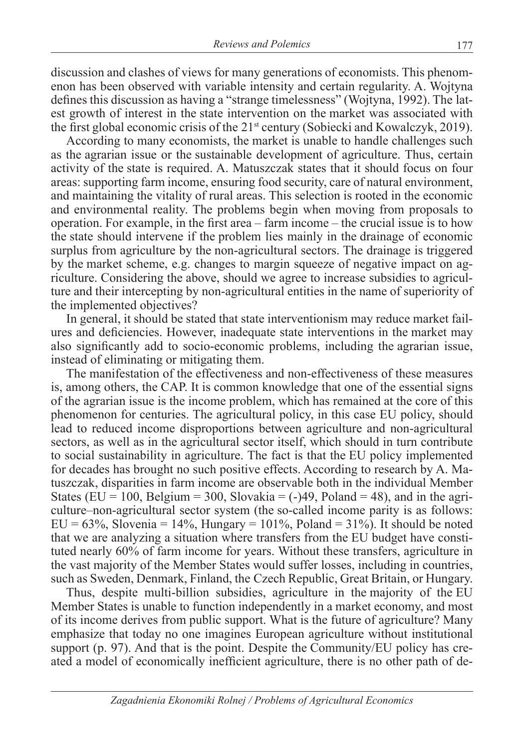discussion and clashes of views for many generations of economists. This phenomenon has been observed with variable intensity and certain regularity. A. Wojtyna defines this discussion as having a "strange timelessness" (Wojtyna, 1992). The latest growth of interest in the state intervention on the market was associated with the first global economic crisis of the 21<sup>st</sup> century (Sobiecki and Kowalczyk, 2019).

According to many economists, the market is unable to handle challenges such as the agrarian issue or the sustainable development of agriculture. Thus, certain activity of the state is required. A. Matuszczak states that it should focus on four areas: supporting farm income, ensuring food security, care of natural environment, and maintaining the vitality of rural areas. This selection is rooted in the economic and environmental reality. The problems begin when moving from proposals to operation. For example, in the first area – farm income – the crucial issue is to how the state should intervene if the problem lies mainly in the drainage of economic surplus from agriculture by the non-agricultural sectors. The drainage is triggered by the market scheme, e.g. changes to margin squeeze of negative impact on agriculture. Considering the above, should we agree to increase subsidies to agriculture and their intercepting by non-agricultural entities in the name of superiority of the implemented objectives?

In general, it should be stated that state interventionism may reduce market failures and deficiencies. However, inadequate state interventions in the market may also significantly add to socio-economic problems, including the agrarian issue, instead of eliminating or mitigating them.

The manifestation of the effectiveness and non-effectiveness of these measures is, among others, the CAP. It is common knowledge that one of the essential signs of the agrarian issue is the income problem, which has remained at the core of this phenomenon for centuries. The agricultural policy, in this case EU policy, should lead to reduced income disproportions between agriculture and non-agricultural sectors, as well as in the agricultural sector itself, which should in turn contribute to social sustainability in agriculture. The fact is that the EU policy implemented for decades has brought no such positive effects. According to research by A. Matuszczak, disparities in farm income are observable both in the individual Member States (EU = 100, Belgium = 300, Slovakia =  $(-)49$ , Poland = 48), and in the agriculture–non-agricultural sector system (the so-called income parity is as follows:  $EU = 63\%$ , Slovenia = 14%, Hungary = 101%, Poland = 31%). It should be noted that we are analyzing a situation where transfers from the EU budget have constituted nearly 60% of farm income for years. Without these transfers, agriculture in the vast majority of the Member States would suffer losses, including in countries, such as Sweden, Denmark, Finland, the Czech Republic, Great Britain, or Hungary.

Thus, despite multi-billion subsidies, agriculture in the majority of the EU Member States is unable to function independently in a market economy, and most of its income derives from public support. What is the future of agriculture? Many emphasize that today no one imagines European agriculture without institutional support (p. 97). And that is the point. Despite the Community/EU policy has created a model of economically inefficient agriculture, there is no other path of de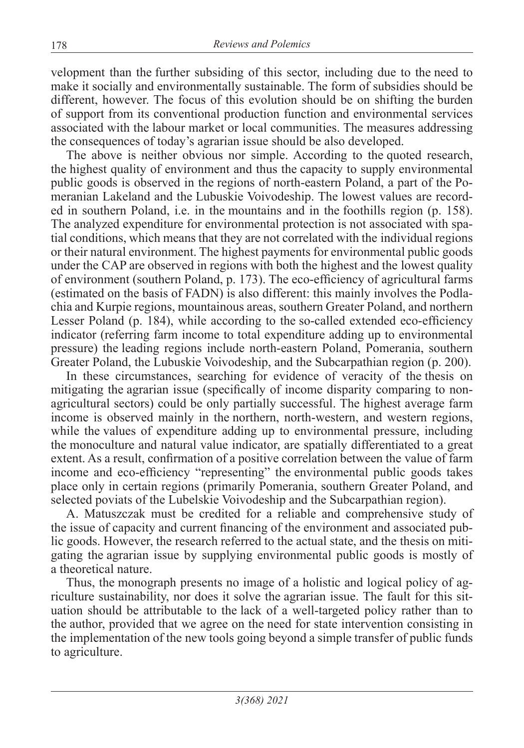velopment than the further subsiding of this sector, including due to the need to make it socially and environmentally sustainable. The form of subsidies should be different, however. The focus of this evolution should be on shifting the burden of support from its conventional production function and environmental services associated with the labour market or local communities. The measures addressing the consequences of today's agrarian issue should be also developed.

The above is neither obvious nor simple. According to the quoted research, the highest quality of environment and thus the capacity to supply environmental public goods is observed in the regions of north-eastern Poland, a part of the Pomeranian Lakeland and the Lubuskie Voivodeship. The lowest values are recorded in southern Poland, i.e. in the mountains and in the foothills region (p. 158). The analyzed expenditure for environmental protection is not associated with spatial conditions, which means that they are not correlated with the individual regions or their natural environment. The highest payments for environmental public goods under the CAP are observed in regions with both the highest and the lowest quality of environment (southern Poland, p. 173). The eco-efficiency of agricultural farms (estimated on the basis of FADN) is also different: this mainly involves the Podlachia and Kurpie regions, mountainous areas, southern Greater Poland, and northern Lesser Poland (p. 184), while according to the so-called extended eco-efficiency indicator (referring farm income to total expenditure adding up to environmental pressure) the leading regions include north-eastern Poland, Pomerania, southern Greater Poland, the Lubuskie Voivodeship, and the Subcarpathian region (p. 200).

In these circumstances, searching for evidence of veracity of the thesis on mitigating the agrarian issue (specifically of income disparity comparing to nonagricultural sectors) could be only partially successful. The highest average farm income is observed mainly in the northern, north-western, and western regions, while the values of expenditure adding up to environmental pressure, including the monoculture and natural value indicator, are spatially differentiated to a great extent. As a result, confirmation of a positive correlation between the value of farm income and eco-efficiency "representing" the environmental public goods takes place only in certain regions (primarily Pomerania, southern Greater Poland, and selected poviats of the Lubelskie Voivodeship and the Subcarpathian region).

A. Matuszczak must be credited for a reliable and comprehensive study of the issue of capacity and current financing of the environment and associated public goods. However, the research referred to the actual state, and the thesis on mitigating the agrarian issue by supplying environmental public goods is mostly of a theoretical nature.

Thus, the monograph presents no image of a holistic and logical policy of agriculture sustainability, nor does it solve the agrarian issue. The fault for this situation should be attributable to the lack of a well-targeted policy rather than to the author, provided that we agree on the need for state intervention consisting in the implementation of the new tools going beyond a simple transfer of public funds to agriculture.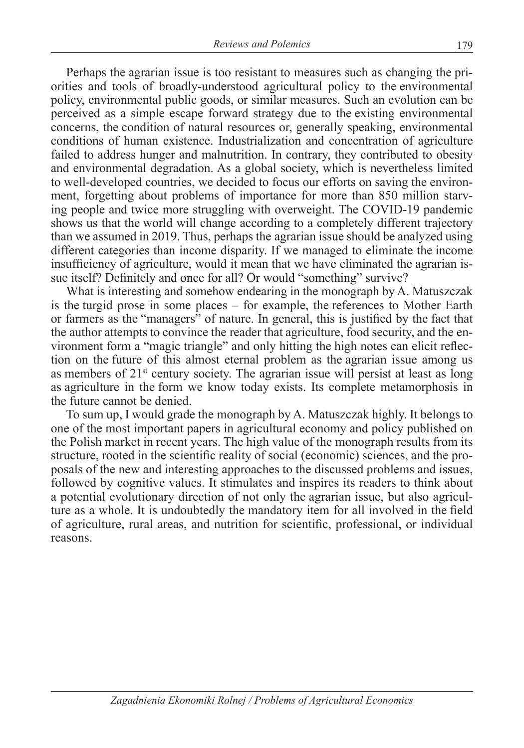Perhaps the agrarian issue is too resistant to measures such as changing the priorities and tools of broadly-understood agricultural policy to the environmental policy, environmental public goods, or similar measures. Such an evolution can be perceived as a simple escape forward strategy due to the existing environmental concerns, the condition of natural resources or, generally speaking, environmental conditions of human existence. Industrialization and concentration of agriculture failed to address hunger and malnutrition. In contrary, they contributed to obesity and environmental degradation. As a global society, which is nevertheless limited to well-developed countries, we decided to focus our efforts on saving the environment, forgetting about problems of importance for more than 850 million starving people and twice more struggling with overweight. The COVID-19 pandemic shows us that the world will change according to a completely different trajectory than we assumed in 2019. Thus, perhaps the agrarian issue should be analyzed using different categories than income disparity. If we managed to eliminate the income insufficiency of agriculture, would it mean that we have eliminated the agrarian issue itself? Definitely and once for all? Or would "something" survive?

What is interesting and somehow endearing in the monograph by A. Matuszczak is the turgid prose in some places – for example, the references to Mother Earth or farmers as the "managers" of nature. In general, this is justified by the fact that the author attempts to convince the reader that agriculture, food security, and the environment form a "magic triangle" and only hitting the high notes can elicit reflection on the future of this almost eternal problem as the agrarian issue among us as members of 21st century society. The agrarian issue will persist at least as long as agriculture in the form we know today exists. Its complete metamorphosis in the future cannot be denied.

To sum up, I would grade the monograph by A. Matuszczak highly. It belongs to one of the most important papers in agricultural economy and policy published on the Polish market in recent years. The high value of the monograph results from its structure, rooted in the scientific reality of social (economic) sciences, and the proposals of the new and interesting approaches to the discussed problems and issues, followed by cognitive values. It stimulates and inspires its readers to think about a potential evolutionary direction of not only the agrarian issue, but also agriculture as a whole. It is undoubtedly the mandatory item for all involved in the field of agriculture, rural areas, and nutrition for scientific, professional, or individual reasons.